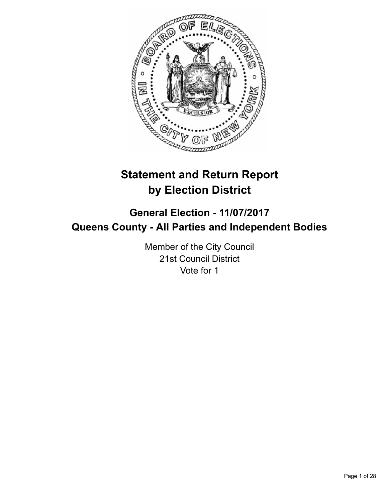

# **Statement and Return Report by Election District**

## **General Election - 11/07/2017 Queens County - All Parties and Independent Bodies**

Member of the City Council 21st Council District Vote for 1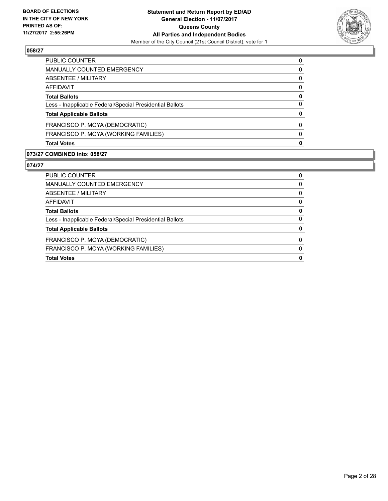

| PUBLIC COUNTER                                           | 0 |
|----------------------------------------------------------|---|
| <b>MANUALLY COUNTED EMERGENCY</b>                        | 0 |
| ABSENTEE / MILITARY                                      | 0 |
| AFFIDAVIT                                                | 0 |
| <b>Total Ballots</b>                                     | 0 |
| Less - Inapplicable Federal/Special Presidential Ballots | 0 |
| <b>Total Applicable Ballots</b>                          | 0 |
| FRANCISCO P. MOYA (DEMOCRATIC)                           | 0 |
| FRANCISCO P. MOYA (WORKING FAMILIES)                     | 0 |
| <b>Total Votes</b>                                       | 0 |

## **073/27 COMBINED into: 058/27**

| <b>Total Votes</b>                                       | 0            |
|----------------------------------------------------------|--------------|
| FRANCISCO P. MOYA (WORKING FAMILIES)                     | $\Omega$     |
| FRANCISCO P. MOYA (DEMOCRATIC)                           | <sup>0</sup> |
| <b>Total Applicable Ballots</b>                          | 0            |
| Less - Inapplicable Federal/Special Presidential Ballots | 0            |
| <b>Total Ballots</b>                                     | 0            |
| AFFIDAVIT                                                | 0            |
| ABSENTEE / MILITARY                                      | 0            |
| <b>MANUALLY COUNTED EMERGENCY</b>                        | 0            |
| <b>PUBLIC COUNTER</b>                                    | 0            |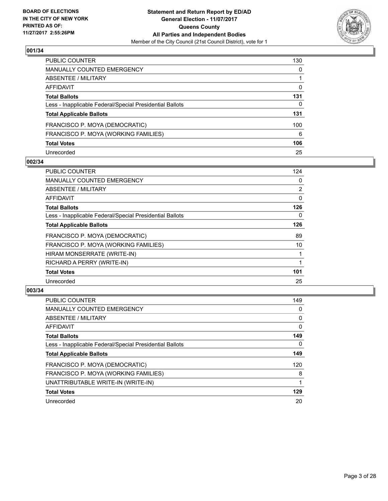

| <b>PUBLIC COUNTER</b>                                    | 130 |
|----------------------------------------------------------|-----|
| <b>MANUALLY COUNTED EMERGENCY</b>                        | 0   |
| <b>ABSENTEE / MILITARY</b>                               |     |
| <b>AFFIDAVIT</b>                                         | 0   |
| <b>Total Ballots</b>                                     | 131 |
| Less - Inapplicable Federal/Special Presidential Ballots | 0   |
| <b>Total Applicable Ballots</b>                          | 131 |
| FRANCISCO P. MOYA (DEMOCRATIC)                           | 100 |
| FRANCISCO P. MOYA (WORKING FAMILIES)                     | 6   |
| <b>Total Votes</b>                                       | 106 |
| Unrecorded                                               | 25  |

#### **002/34**

| <b>PUBLIC COUNTER</b>                                    | 124            |
|----------------------------------------------------------|----------------|
| <b>MANUALLY COUNTED EMERGENCY</b>                        | 0              |
| ABSENTEE / MILITARY                                      | $\overline{2}$ |
| AFFIDAVIT                                                | 0              |
| <b>Total Ballots</b>                                     | 126            |
| Less - Inapplicable Federal/Special Presidential Ballots | 0              |
| <b>Total Applicable Ballots</b>                          | 126            |
| FRANCISCO P. MOYA (DEMOCRATIC)                           | 89             |
| FRANCISCO P. MOYA (WORKING FAMILIES)                     | 10             |
| HIRAM MONSERRATE (WRITE-IN)                              |                |
| RICHARD A PERRY (WRITE-IN)                               |                |
| <b>Total Votes</b>                                       | 101            |
| Unrecorded                                               | 25             |

| <b>PUBLIC COUNTER</b>                                    | 149 |
|----------------------------------------------------------|-----|
| <b>MANUALLY COUNTED EMERGENCY</b>                        | 0   |
| ABSENTEE / MILITARY                                      | 0   |
| AFFIDAVIT                                                | 0   |
| <b>Total Ballots</b>                                     | 149 |
| Less - Inapplicable Federal/Special Presidential Ballots | 0   |
| <b>Total Applicable Ballots</b>                          | 149 |
| FRANCISCO P. MOYA (DEMOCRATIC)                           | 120 |
| FRANCISCO P. MOYA (WORKING FAMILIES)                     | 8   |
| UNATTRIBUTABLE WRITE-IN (WRITE-IN)                       |     |
| <b>Total Votes</b>                                       | 129 |
| Unrecorded                                               | 20  |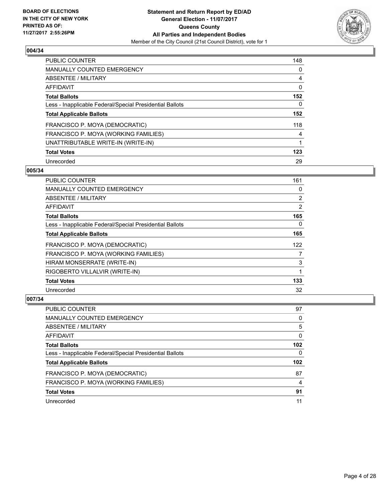

| <b>PUBLIC COUNTER</b>                                    | 148 |
|----------------------------------------------------------|-----|
| <b>MANUALLY COUNTED EMERGENCY</b>                        | 0   |
| ABSENTEE / MILITARY                                      | 4   |
| AFFIDAVIT                                                | 0   |
| <b>Total Ballots</b>                                     | 152 |
| Less - Inapplicable Federal/Special Presidential Ballots | 0   |
| <b>Total Applicable Ballots</b>                          | 152 |
| FRANCISCO P. MOYA (DEMOCRATIC)                           | 118 |
| FRANCISCO P. MOYA (WORKING FAMILIES)                     | 4   |
| UNATTRIBUTABLE WRITE-IN (WRITE-IN)                       | 1   |
| <b>Total Votes</b>                                       | 123 |
| Unrecorded                                               | 29  |

#### **005/34**

| <b>PUBLIC COUNTER</b>                                    | 161            |
|----------------------------------------------------------|----------------|
| <b>MANUALLY COUNTED EMERGENCY</b>                        | 0              |
| ABSENTEE / MILITARY                                      | $\overline{2}$ |
| AFFIDAVIT                                                | 2              |
| <b>Total Ballots</b>                                     | 165            |
| Less - Inapplicable Federal/Special Presidential Ballots | $\Omega$       |
| <b>Total Applicable Ballots</b>                          | 165            |
| FRANCISCO P. MOYA (DEMOCRATIC)                           | 122            |
| FRANCISCO P. MOYA (WORKING FAMILIES)                     | 7              |
| HIRAM MONSERRATE (WRITE-IN)                              | 3              |
| RIGOBERTO VILLALVIR (WRITE-IN)                           | 1              |
| <b>Total Votes</b>                                       | 133            |
| Unrecorded                                               | 32             |

| PUBLIC COUNTER                                           | 97               |
|----------------------------------------------------------|------------------|
| <b>MANUALLY COUNTED EMERGENCY</b>                        | 0                |
| ABSENTEE / MILITARY                                      | 5                |
| AFFIDAVIT                                                | 0                |
| <b>Total Ballots</b>                                     | 102 <sub>2</sub> |
| Less - Inapplicable Federal/Special Presidential Ballots | 0                |
| <b>Total Applicable Ballots</b>                          | 102 <sub>2</sub> |
| FRANCISCO P. MOYA (DEMOCRATIC)                           | 87               |
| FRANCISCO P. MOYA (WORKING FAMILIES)                     | 4                |
| <b>Total Votes</b>                                       | 91               |
| Unrecorded                                               | 11               |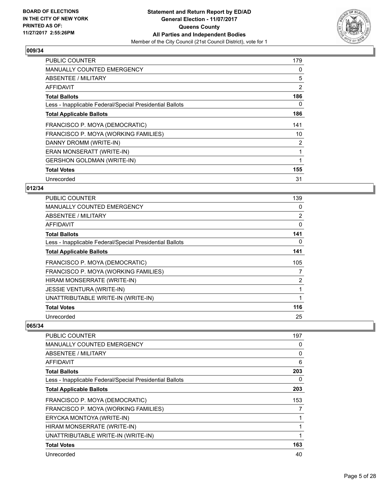

| <b>PUBLIC COUNTER</b>                                    | 179 |
|----------------------------------------------------------|-----|
| <b>MANUALLY COUNTED EMERGENCY</b>                        | 0   |
| <b>ABSENTEE / MILITARY</b>                               | 5   |
| <b>AFFIDAVIT</b>                                         | 2   |
| <b>Total Ballots</b>                                     | 186 |
| Less - Inapplicable Federal/Special Presidential Ballots | 0   |
| <b>Total Applicable Ballots</b>                          | 186 |
| FRANCISCO P. MOYA (DEMOCRATIC)                           | 141 |
| FRANCISCO P. MOYA (WORKING FAMILIES)                     | 10  |
| DANNY DROMM (WRITE-IN)                                   | 2   |
| ERAN MONSERATT (WRITE-IN)                                |     |
| <b>GERSHON GOLDMAN (WRITE-IN)</b>                        |     |
| <b>Total Votes</b>                                       | 155 |
| Unrecorded                                               | 31  |

## **012/34**

| <b>PUBLIC COUNTER</b>                                    | 139            |
|----------------------------------------------------------|----------------|
| MANUALLY COUNTED EMERGENCY                               | 0              |
| ABSENTEE / MILITARY                                      | $\overline{2}$ |
| AFFIDAVIT                                                | 0              |
| <b>Total Ballots</b>                                     | 141            |
| Less - Inapplicable Federal/Special Presidential Ballots | 0              |
| <b>Total Applicable Ballots</b>                          | 141            |
| FRANCISCO P. MOYA (DEMOCRATIC)                           | 105            |
| FRANCISCO P. MOYA (WORKING FAMILIES)                     | 7              |
| HIRAM MONSERRATE (WRITE-IN)                              | 2              |
| <b>JESSIE VENTURA (WRITE-IN)</b>                         |                |
| UNATTRIBUTABLE WRITE-IN (WRITE-IN)                       |                |
| <b>Total Votes</b>                                       | 116            |
| Unrecorded                                               | 25             |

| <b>PUBLIC COUNTER</b>                                    | 197 |
|----------------------------------------------------------|-----|
| <b>MANUALLY COUNTED EMERGENCY</b>                        | 0   |
| <b>ABSENTEE / MILITARY</b>                               | 0   |
| <b>AFFIDAVIT</b>                                         | 6   |
| <b>Total Ballots</b>                                     | 203 |
| Less - Inapplicable Federal/Special Presidential Ballots | 0   |
| <b>Total Applicable Ballots</b>                          | 203 |
| FRANCISCO P. MOYA (DEMOCRATIC)                           | 153 |
| FRANCISCO P. MOYA (WORKING FAMILIES)                     | 7   |
| ERYCKA MONTOYA (WRITE-IN)                                |     |
| HIRAM MONSERRATE (WRITE-IN)                              |     |
| UNATTRIBUTABLE WRITE-IN (WRITE-IN)                       |     |
| <b>Total Votes</b>                                       | 163 |
| Unrecorded                                               | 40  |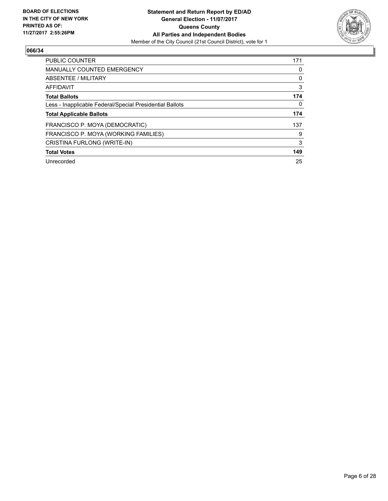

| <b>PUBLIC COUNTER</b>                                    | 171 |
|----------------------------------------------------------|-----|
| <b>MANUALLY COUNTED EMERGENCY</b>                        | 0   |
| ABSENTEE / MILITARY                                      | 0   |
| AFFIDAVIT                                                | 3   |
| <b>Total Ballots</b>                                     | 174 |
| Less - Inapplicable Federal/Special Presidential Ballots | 0   |
| <b>Total Applicable Ballots</b>                          | 174 |
| FRANCISCO P. MOYA (DEMOCRATIC)                           | 137 |
| FRANCISCO P. MOYA (WORKING FAMILIES)                     | 9   |
| CRISTINA FURLONG (WRITE-IN)                              | 3   |
| <b>Total Votes</b>                                       | 149 |
| Unrecorded                                               | 25  |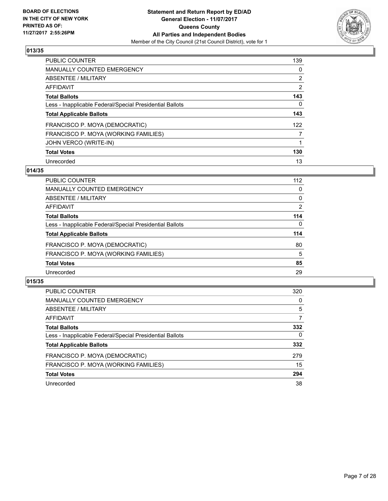

| <b>PUBLIC COUNTER</b>                                    | 139            |
|----------------------------------------------------------|----------------|
| <b>MANUALLY COUNTED EMERGENCY</b>                        | 0              |
| ABSENTEE / MILITARY                                      | $\overline{2}$ |
| AFFIDAVIT                                                | $\overline{2}$ |
| <b>Total Ballots</b>                                     | 143            |
| Less - Inapplicable Federal/Special Presidential Ballots | 0              |
| <b>Total Applicable Ballots</b>                          | 143            |
| FRANCISCO P. MOYA (DEMOCRATIC)                           | 122            |
| FRANCISCO P. MOYA (WORKING FAMILIES)                     | 7              |
| JOHN VERCO (WRITE-IN)                                    |                |
| <b>Total Votes</b>                                       | 130            |
| Unrecorded                                               | 13             |

## **014/35**

| <b>PUBLIC COUNTER</b>                                    | 112      |
|----------------------------------------------------------|----------|
| <b>MANUALLY COUNTED EMERGENCY</b>                        | 0        |
| ABSENTEE / MILITARY                                      | 0        |
| AFFIDAVIT                                                | 2        |
| <b>Total Ballots</b>                                     | 114      |
| Less - Inapplicable Federal/Special Presidential Ballots | $\Omega$ |
| <b>Total Applicable Ballots</b>                          | 114      |
| FRANCISCO P. MOYA (DEMOCRATIC)                           | 80       |
| FRANCISCO P. MOYA (WORKING FAMILIES)                     | 5        |
| <b>Total Votes</b>                                       | 85       |
| Unrecorded                                               | 29       |
|                                                          |          |

| <b>PUBLIC COUNTER</b>                                    | 320      |
|----------------------------------------------------------|----------|
| MANUALLY COUNTED EMERGENCY                               | 0        |
| ABSENTEE / MILITARY                                      | 5        |
| AFFIDAVIT                                                | 7        |
| <b>Total Ballots</b>                                     | 332      |
| Less - Inapplicable Federal/Special Presidential Ballots | $\Omega$ |
| <b>Total Applicable Ballots</b>                          | 332      |
| FRANCISCO P. MOYA (DEMOCRATIC)                           | 279      |
| FRANCISCO P. MOYA (WORKING FAMILIES)                     | 15       |
| <b>Total Votes</b>                                       | 294      |
| Unrecorded                                               | 38       |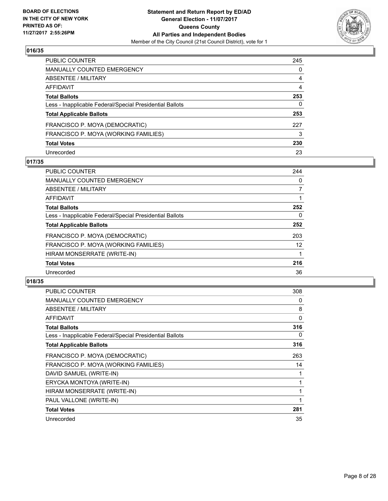

| <b>PUBLIC COUNTER</b>                                    | 245 |
|----------------------------------------------------------|-----|
| MANUALLY COUNTED EMERGENCY                               | 0   |
| ABSENTEE / MILITARY                                      | 4   |
| <b>AFFIDAVIT</b>                                         | 4   |
| <b>Total Ballots</b>                                     | 253 |
| Less - Inapplicable Federal/Special Presidential Ballots | 0   |
| <b>Total Applicable Ballots</b>                          | 253 |
| FRANCISCO P. MOYA (DEMOCRATIC)                           | 227 |
| FRANCISCO P. MOYA (WORKING FAMILIES)                     | 3   |
| <b>Total Votes</b>                                       | 230 |
| Unrecorded                                               | 23  |

## **017/35**

| <b>PUBLIC COUNTER</b>                                    | 244 |
|----------------------------------------------------------|-----|
| <b>MANUALLY COUNTED EMERGENCY</b>                        | 0   |
| ABSENTEE / MILITARY                                      | 7   |
| <b>AFFIDAVIT</b>                                         |     |
| <b>Total Ballots</b>                                     | 252 |
| Less - Inapplicable Federal/Special Presidential Ballots | 0   |
| <b>Total Applicable Ballots</b>                          | 252 |
| FRANCISCO P. MOYA (DEMOCRATIC)                           | 203 |
| FRANCISCO P. MOYA (WORKING FAMILIES)                     | 12  |
| HIRAM MONSERRATE (WRITE-IN)                              |     |
| <b>Total Votes</b>                                       | 216 |
| Unrecorded                                               | 36  |

| <b>PUBLIC COUNTER</b>                                    | 308 |
|----------------------------------------------------------|-----|
| <b>MANUALLY COUNTED EMERGENCY</b>                        | 0   |
| ABSENTEE / MILITARY                                      | 8   |
| <b>AFFIDAVIT</b>                                         | 0   |
| <b>Total Ballots</b>                                     | 316 |
| Less - Inapplicable Federal/Special Presidential Ballots | 0   |
| <b>Total Applicable Ballots</b>                          | 316 |
| FRANCISCO P. MOYA (DEMOCRATIC)                           | 263 |
| FRANCISCO P. MOYA (WORKING FAMILIES)                     | 14  |
| DAVID SAMUEL (WRITE-IN)                                  |     |
| ERYCKA MONTOYA (WRITE-IN)                                |     |
| HIRAM MONSERRATE (WRITE-IN)                              | 1   |
| PAUL VALLONE (WRITE-IN)                                  | 1   |
| <b>Total Votes</b>                                       | 281 |
| Unrecorded                                               | 35  |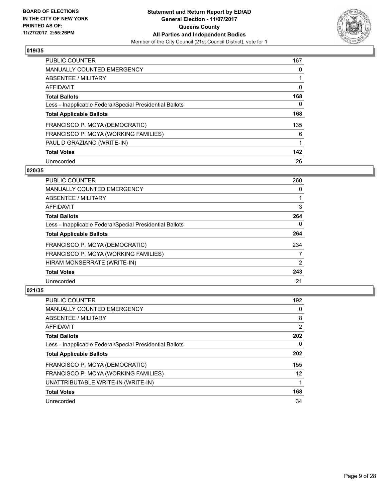

| <b>PUBLIC COUNTER</b>                                    | 167 |
|----------------------------------------------------------|-----|
| <b>MANUALLY COUNTED EMERGENCY</b>                        | 0   |
| ABSENTEE / MILITARY                                      |     |
| AFFIDAVIT                                                | 0   |
| <b>Total Ballots</b>                                     | 168 |
| Less - Inapplicable Federal/Special Presidential Ballots | 0   |
| <b>Total Applicable Ballots</b>                          | 168 |
| FRANCISCO P. MOYA (DEMOCRATIC)                           | 135 |
| FRANCISCO P. MOYA (WORKING FAMILIES)                     | 6   |
| PAUL D GRAZIANO (WRITE-IN)                               |     |
| <b>Total Votes</b>                                       | 142 |
| Unrecorded                                               | 26  |

#### **020/35**

| <b>PUBLIC COUNTER</b>                                    | 260 |
|----------------------------------------------------------|-----|
| <b>MANUALLY COUNTED EMERGENCY</b>                        | 0   |
| ABSENTEE / MILITARY                                      |     |
| <b>AFFIDAVIT</b>                                         | 3   |
| <b>Total Ballots</b>                                     | 264 |
| Less - Inapplicable Federal/Special Presidential Ballots | 0   |
| <b>Total Applicable Ballots</b>                          | 264 |
| FRANCISCO P. MOYA (DEMOCRATIC)                           | 234 |
| FRANCISCO P. MOYA (WORKING FAMILIES)                     | 7   |
| HIRAM MONSERRATE (WRITE-IN)                              | 2   |
| <b>Total Votes</b>                                       | 243 |
| Unrecorded                                               | 21  |

| <b>PUBLIC COUNTER</b>                                    | 192             |
|----------------------------------------------------------|-----------------|
| <b>MANUALLY COUNTED EMERGENCY</b>                        | 0               |
| ABSENTEE / MILITARY                                      | 8               |
| AFFIDAVIT                                                | $\overline{2}$  |
| <b>Total Ballots</b>                                     | 202             |
| Less - Inapplicable Federal/Special Presidential Ballots | 0               |
| <b>Total Applicable Ballots</b>                          | 202             |
| FRANCISCO P. MOYA (DEMOCRATIC)                           | 155             |
| FRANCISCO P. MOYA (WORKING FAMILIES)                     | 12 <sup>2</sup> |
| UNATTRIBUTABLE WRITE-IN (WRITE-IN)                       |                 |
| <b>Total Votes</b>                                       | 168             |
| Unrecorded                                               | 34              |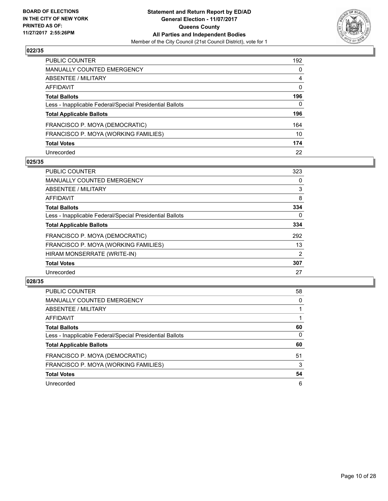

| PUBLIC COUNTER                                           | 192          |
|----------------------------------------------------------|--------------|
| <b>MANUALLY COUNTED EMERGENCY</b>                        | $\mathbf{0}$ |
| <b>ABSENTEE / MILITARY</b>                               | 4            |
| AFFIDAVIT                                                | $\mathbf{0}$ |
| <b>Total Ballots</b>                                     | 196          |
| Less - Inapplicable Federal/Special Presidential Ballots | $\mathbf{0}$ |
| <b>Total Applicable Ballots</b>                          | 196          |
| FRANCISCO P. MOYA (DEMOCRATIC)                           | 164          |
| FRANCISCO P. MOYA (WORKING FAMILIES)                     | 10           |
| <b>Total Votes</b>                                       | 174          |
| Unrecorded                                               | 22           |

## **025/35**

| <b>PUBLIC COUNTER</b>                                    | 323            |
|----------------------------------------------------------|----------------|
| <b>MANUALLY COUNTED EMERGENCY</b>                        | 0              |
| ABSENTEE / MILITARY                                      | 3              |
| AFFIDAVIT                                                | 8              |
| <b>Total Ballots</b>                                     | 334            |
| Less - Inapplicable Federal/Special Presidential Ballots | 0              |
| <b>Total Applicable Ballots</b>                          | 334            |
| FRANCISCO P. MOYA (DEMOCRATIC)                           | 292            |
| FRANCISCO P. MOYA (WORKING FAMILIES)                     | 13             |
| HIRAM MONSERRATE (WRITE-IN)                              | $\overline{2}$ |
| <b>Total Votes</b>                                       | 307            |
| Unrecorded                                               | 27             |

| <b>PUBLIC COUNTER</b>                                    | 58 |
|----------------------------------------------------------|----|
| MANUALLY COUNTED EMERGENCY                               | 0  |
| ABSENTEE / MILITARY                                      |    |
| AFFIDAVIT                                                |    |
| <b>Total Ballots</b>                                     | 60 |
| Less - Inapplicable Federal/Special Presidential Ballots | 0  |
| <b>Total Applicable Ballots</b>                          | 60 |
| FRANCISCO P. MOYA (DEMOCRATIC)                           | 51 |
| FRANCISCO P. MOYA (WORKING FAMILIES)                     | 3  |
| <b>Total Votes</b>                                       | 54 |
| Unrecorded                                               | 6  |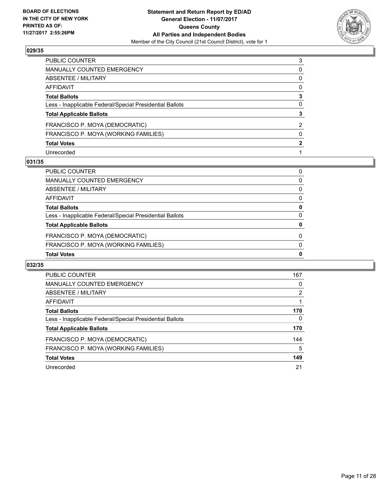

| PUBLIC COUNTER                                           | 3            |
|----------------------------------------------------------|--------------|
| MANUALLY COUNTED EMERGENCY                               | 0            |
| ABSENTEE / MILITARY                                      | 0            |
| AFFIDAVIT                                                | $\mathbf{0}$ |
| Total Ballots                                            | 3            |
| Less - Inapplicable Federal/Special Presidential Ballots | $\mathbf{0}$ |
| <b>Total Applicable Ballots</b>                          | 3            |
| FRANCISCO P. MOYA (DEMOCRATIC)                           | 2            |
| FRANCISCO P. MOYA (WORKING FAMILIES)                     | $\mathbf{0}$ |
| <b>Total Votes</b>                                       | 2            |
| Unrecorded                                               |              |

#### **031/35**

| <b>Total Votes</b>                                       | 0        |
|----------------------------------------------------------|----------|
| FRANCISCO P. MOYA (WORKING FAMILIES)                     | $\Omega$ |
| FRANCISCO P. MOYA (DEMOCRATIC)                           | 0        |
| <b>Total Applicable Ballots</b>                          | 0        |
| Less - Inapplicable Federal/Special Presidential Ballots | 0        |
| <b>Total Ballots</b>                                     | 0        |
| AFFIDAVIT                                                | 0        |
| ABSENTEE / MILITARY                                      | 0        |
| MANUALLY COUNTED EMERGENCY                               | 0        |
| PUBLIC COUNTER                                           | 0        |

| <b>PUBLIC COUNTER</b>                                    | 167            |
|----------------------------------------------------------|----------------|
| <b>MANUALLY COUNTED EMERGENCY</b>                        | 0              |
| ABSENTEE / MILITARY                                      | $\overline{2}$ |
| AFFIDAVIT                                                |                |
| <b>Total Ballots</b>                                     | 170            |
| Less - Inapplicable Federal/Special Presidential Ballots | 0              |
| <b>Total Applicable Ballots</b>                          | 170            |
| FRANCISCO P. MOYA (DEMOCRATIC)                           | 144            |
| FRANCISCO P. MOYA (WORKING FAMILIES)                     | 5              |
| <b>Total Votes</b>                                       | 149            |
| Unrecorded                                               | 21             |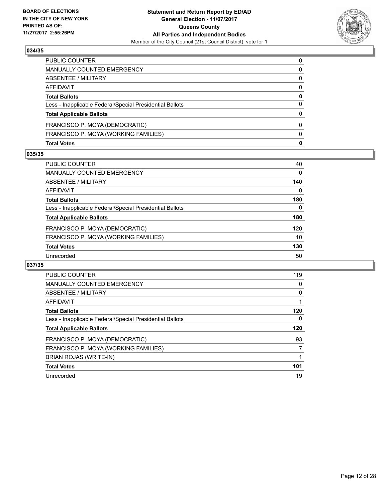

| <b>Total Votes</b>                                       | 0            |
|----------------------------------------------------------|--------------|
| FRANCISCO P. MOYA (WORKING FAMILIES)                     | $\Omega$     |
| FRANCISCO P. MOYA (DEMOCRATIC)                           | 0            |
| <b>Total Applicable Ballots</b>                          | 0            |
| Less - Inapplicable Federal/Special Presidential Ballots | 0            |
| <b>Total Ballots</b>                                     | $\mathbf{0}$ |
| AFFIDAVIT                                                | 0            |
| <b>ABSENTEE / MILITARY</b>                               | 0            |
| MANUALLY COUNTED EMERGENCY                               | 0            |
| PUBLIC COUNTER                                           | $\Omega$     |

#### **035/35**

| <b>PUBLIC COUNTER</b>                                    | 40  |
|----------------------------------------------------------|-----|
| MANUALLY COUNTED EMERGENCY                               | 0   |
| ABSENTEE / MILITARY                                      | 140 |
| AFFIDAVIT                                                | 0   |
| <b>Total Ballots</b>                                     | 180 |
| Less - Inapplicable Federal/Special Presidential Ballots | 0   |
| <b>Total Applicable Ballots</b>                          | 180 |
| FRANCISCO P. MOYA (DEMOCRATIC)                           | 120 |
| FRANCISCO P. MOYA (WORKING FAMILIES)                     | 10  |
| <b>Total Votes</b>                                       | 130 |
| Unrecorded                                               | 50  |
|                                                          |     |

| <b>PUBLIC COUNTER</b>                                    | 119 |
|----------------------------------------------------------|-----|
| <b>MANUALLY COUNTED EMERGENCY</b>                        | 0   |
| ABSENTEE / MILITARY                                      | 0   |
| <b>AFFIDAVIT</b>                                         |     |
| <b>Total Ballots</b>                                     | 120 |
| Less - Inapplicable Federal/Special Presidential Ballots | 0   |
| <b>Total Applicable Ballots</b>                          | 120 |
| FRANCISCO P. MOYA (DEMOCRATIC)                           | 93  |
| FRANCISCO P. MOYA (WORKING FAMILIES)                     |     |
| BRIAN ROJAS (WRITE-IN)                                   |     |
| <b>Total Votes</b>                                       | 101 |
| Unrecorded                                               | 19  |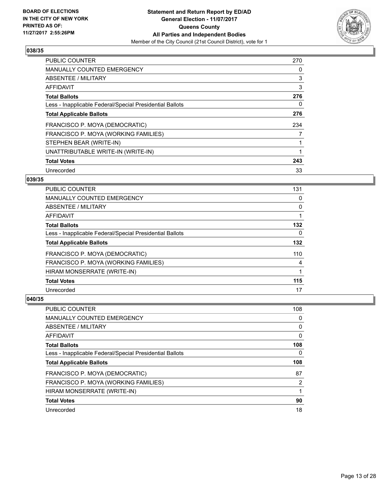

| <b>PUBLIC COUNTER</b>                                    | 270 |
|----------------------------------------------------------|-----|
| <b>MANUALLY COUNTED EMERGENCY</b>                        | 0   |
| ABSENTEE / MILITARY                                      | 3   |
| AFFIDAVIT                                                | 3   |
| <b>Total Ballots</b>                                     | 276 |
| Less - Inapplicable Federal/Special Presidential Ballots | 0   |
| <b>Total Applicable Ballots</b>                          | 276 |
| FRANCISCO P. MOYA (DEMOCRATIC)                           | 234 |
| FRANCISCO P. MOYA (WORKING FAMILIES)                     | 7   |
| STEPHEN BEAR (WRITE-IN)                                  |     |
| UNATTRIBUTABLE WRITE-IN (WRITE-IN)                       | 1   |
| <b>Total Votes</b>                                       | 243 |
| Unrecorded                                               | 33  |

## **039/35**

| <b>PUBLIC COUNTER</b>                                    | 131 |
|----------------------------------------------------------|-----|
| <b>MANUALLY COUNTED EMERGENCY</b>                        | 0   |
| ABSENTEE / MILITARY                                      | 0   |
| AFFIDAVIT                                                |     |
| <b>Total Ballots</b>                                     | 132 |
| Less - Inapplicable Federal/Special Presidential Ballots | 0   |
| <b>Total Applicable Ballots</b>                          | 132 |
| FRANCISCO P. MOYA (DEMOCRATIC)                           | 110 |
| FRANCISCO P. MOYA (WORKING FAMILIES)                     | 4   |
| HIRAM MONSERRATE (WRITE-IN)                              |     |
| <b>Total Votes</b>                                       | 115 |
| Unrecorded                                               | 17  |

| PUBLIC COUNTER                                           | 108 |
|----------------------------------------------------------|-----|
| <b>MANUALLY COUNTED EMERGENCY</b>                        | 0   |
| ABSENTEE / MILITARY                                      | 0   |
| AFFIDAVIT                                                | 0   |
| <b>Total Ballots</b>                                     | 108 |
| Less - Inapplicable Federal/Special Presidential Ballots | 0   |
| <b>Total Applicable Ballots</b>                          | 108 |
| FRANCISCO P. MOYA (DEMOCRATIC)                           | 87  |
| FRANCISCO P. MOYA (WORKING FAMILIES)                     | 2   |
| HIRAM MONSERRATE (WRITE-IN)                              |     |
| <b>Total Votes</b>                                       | 90  |
| Unrecorded                                               | 18  |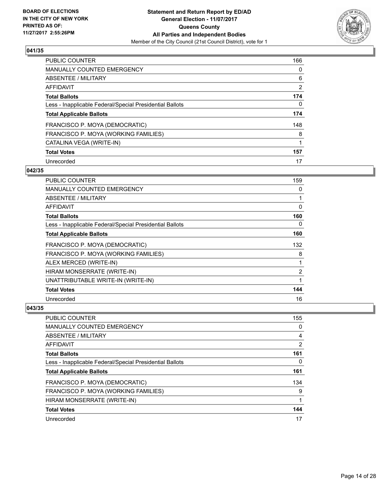

| <b>PUBLIC COUNTER</b>                                    | 166 |
|----------------------------------------------------------|-----|
| <b>MANUALLY COUNTED EMERGENCY</b>                        | 0   |
| ABSENTEE / MILITARY                                      | 6   |
| AFFIDAVIT                                                | 2   |
| <b>Total Ballots</b>                                     | 174 |
| Less - Inapplicable Federal/Special Presidential Ballots | 0   |
| <b>Total Applicable Ballots</b>                          | 174 |
| FRANCISCO P. MOYA (DEMOCRATIC)                           | 148 |
| FRANCISCO P. MOYA (WORKING FAMILIES)                     | 8   |
| CATALINA VEGA (WRITE-IN)                                 | 1   |
| <b>Total Votes</b>                                       | 157 |
| Unrecorded                                               | 17  |

#### **042/35**

| <b>PUBLIC COUNTER</b>                                    | 159 |
|----------------------------------------------------------|-----|
| <b>MANUALLY COUNTED EMERGENCY</b>                        | 0   |
| ABSENTEE / MILITARY                                      | 1   |
| <b>AFFIDAVIT</b>                                         | 0   |
| <b>Total Ballots</b>                                     | 160 |
| Less - Inapplicable Federal/Special Presidential Ballots | 0   |
| <b>Total Applicable Ballots</b>                          | 160 |
| FRANCISCO P. MOYA (DEMOCRATIC)                           | 132 |
| FRANCISCO P. MOYA (WORKING FAMILIES)                     | 8   |
| ALEX MERCED (WRITE-IN)                                   |     |
| HIRAM MONSERRATE (WRITE-IN)                              | 2   |
| UNATTRIBUTABLE WRITE-IN (WRITE-IN)                       | 1   |
| <b>Total Votes</b>                                       | 144 |
| Unrecorded                                               | 16  |

| <b>PUBLIC COUNTER</b>                                    | 155            |
|----------------------------------------------------------|----------------|
| <b>MANUALLY COUNTED EMERGENCY</b>                        | 0              |
| ABSENTEE / MILITARY                                      | 4              |
| AFFIDAVIT                                                | $\overline{2}$ |
| <b>Total Ballots</b>                                     | 161            |
| Less - Inapplicable Federal/Special Presidential Ballots | 0              |
| <b>Total Applicable Ballots</b>                          | 161            |
| FRANCISCO P. MOYA (DEMOCRATIC)                           | 134            |
| FRANCISCO P. MOYA (WORKING FAMILIES)                     | 9              |
| HIRAM MONSERRATE (WRITE-IN)                              |                |
| <b>Total Votes</b>                                       | 144            |
| Unrecorded                                               | 17             |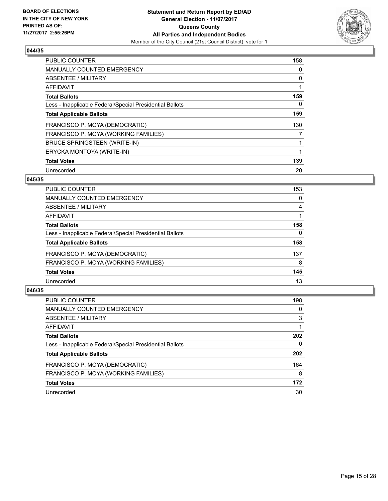

| <b>PUBLIC COUNTER</b>                                    | 158 |
|----------------------------------------------------------|-----|
| <b>MANUALLY COUNTED EMERGENCY</b>                        | 0   |
| ABSENTEE / MILITARY                                      | 0   |
| <b>AFFIDAVIT</b>                                         | 1   |
| <b>Total Ballots</b>                                     | 159 |
| Less - Inapplicable Federal/Special Presidential Ballots | 0   |
| <b>Total Applicable Ballots</b>                          | 159 |
| FRANCISCO P. MOYA (DEMOCRATIC)                           | 130 |
| FRANCISCO P. MOYA (WORKING FAMILIES)                     | 7   |
| BRUCE SPRINGSTEEN (WRITE-IN)                             |     |
| ERYCKA MONTOYA (WRITE-IN)                                | 1   |
| <b>Total Votes</b>                                       | 139 |
| Unrecorded                                               | 20  |

## **045/35**

| <b>PUBLIC COUNTER</b>                                    | 153 |
|----------------------------------------------------------|-----|
| MANUALLY COUNTED EMERGENCY                               | 0   |
| ABSENTEE / MILITARY                                      | 4   |
| AFFIDAVIT                                                |     |
| <b>Total Ballots</b>                                     | 158 |
| Less - Inapplicable Federal/Special Presidential Ballots | 0   |
| <b>Total Applicable Ballots</b>                          | 158 |
| FRANCISCO P. MOYA (DEMOCRATIC)                           | 137 |
| FRANCISCO P. MOYA (WORKING FAMILIES)                     | 8   |
| <b>Total Votes</b>                                       | 145 |
| Unrecorded                                               | 13  |
|                                                          |     |

| <b>PUBLIC COUNTER</b>                                    | 198 |
|----------------------------------------------------------|-----|
| MANUALLY COUNTED EMERGENCY                               | 0   |
| ABSENTEE / MILITARY                                      | 3   |
| AFFIDAVIT                                                |     |
| <b>Total Ballots</b>                                     | 202 |
| Less - Inapplicable Federal/Special Presidential Ballots | 0   |
| <b>Total Applicable Ballots</b>                          | 202 |
| FRANCISCO P. MOYA (DEMOCRATIC)                           | 164 |
| FRANCISCO P. MOYA (WORKING FAMILIES)                     | 8   |
| <b>Total Votes</b>                                       | 172 |
| Unrecorded                                               | 30  |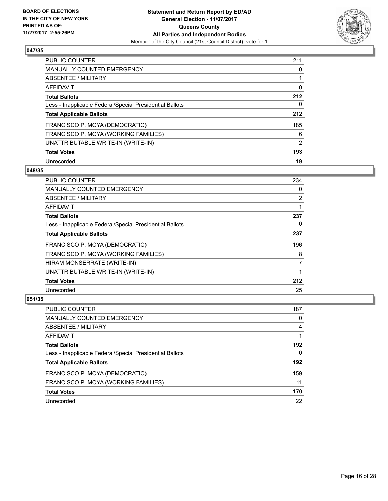

| <b>PUBLIC COUNTER</b>                                    | 211 |
|----------------------------------------------------------|-----|
| <b>MANUALLY COUNTED EMERGENCY</b>                        | 0   |
| ABSENTEE / MILITARY                                      |     |
| AFFIDAVIT                                                | 0   |
| <b>Total Ballots</b>                                     | 212 |
| Less - Inapplicable Federal/Special Presidential Ballots | 0   |
| <b>Total Applicable Ballots</b>                          | 212 |
| FRANCISCO P. MOYA (DEMOCRATIC)                           | 185 |
| FRANCISCO P. MOYA (WORKING FAMILIES)                     | 6   |
| UNATTRIBUTABLE WRITE-IN (WRITE-IN)                       | 2   |
| <b>Total Votes</b>                                       | 193 |
| Unrecorded                                               | 19  |

#### **048/35**

| <b>PUBLIC COUNTER</b>                                    | 234            |
|----------------------------------------------------------|----------------|
| <b>MANUALLY COUNTED EMERGENCY</b>                        | 0              |
| ABSENTEE / MILITARY                                      | $\overline{2}$ |
| AFFIDAVIT                                                |                |
| <b>Total Ballots</b>                                     | 237            |
| Less - Inapplicable Federal/Special Presidential Ballots | 0              |
| <b>Total Applicable Ballots</b>                          | 237            |
| FRANCISCO P. MOYA (DEMOCRATIC)                           | 196            |
| FRANCISCO P. MOYA (WORKING FAMILIES)                     | 8              |
| HIRAM MONSERRATE (WRITE-IN)                              | 7              |
| UNATTRIBUTABLE WRITE-IN (WRITE-IN)                       |                |
| <b>Total Votes</b>                                       | 212            |
| Unrecorded                                               | 25             |

| <b>PUBLIC COUNTER</b>                                    | 187 |
|----------------------------------------------------------|-----|
| <b>MANUALLY COUNTED EMERGENCY</b>                        | 0   |
| ABSENTEE / MILITARY                                      | 4   |
| AFFIDAVIT                                                |     |
| <b>Total Ballots</b>                                     | 192 |
| Less - Inapplicable Federal/Special Presidential Ballots | 0   |
| <b>Total Applicable Ballots</b>                          | 192 |
| FRANCISCO P. MOYA (DEMOCRATIC)                           | 159 |
| FRANCISCO P. MOYA (WORKING FAMILIES)                     | 11  |
| <b>Total Votes</b>                                       | 170 |
| Unrecorded                                               | 22  |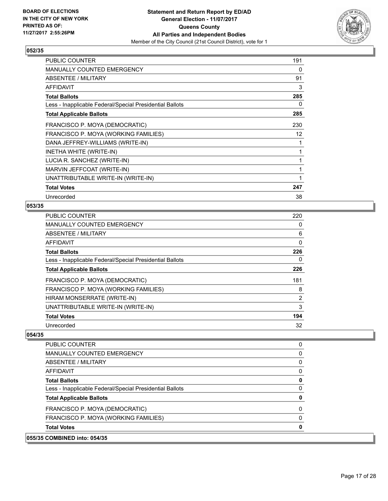

| <b>PUBLIC COUNTER</b>                                    | 191 |
|----------------------------------------------------------|-----|
| MANUALLY COUNTED EMERGENCY                               | 0   |
| ABSENTEE / MILITARY                                      | 91  |
| AFFIDAVIT                                                | 3   |
| <b>Total Ballots</b>                                     | 285 |
| Less - Inapplicable Federal/Special Presidential Ballots | 0   |
| <b>Total Applicable Ballots</b>                          | 285 |
| FRANCISCO P. MOYA (DEMOCRATIC)                           | 230 |
| FRANCISCO P. MOYA (WORKING FAMILIES)                     | 12  |
| DANA JEFFREY-WILLIAMS (WRITE-IN)                         | 1   |
| INETHA WHITE (WRITE-IN)                                  | 1   |
| LUCIA R. SANCHEZ (WRITE-IN)                              | 1   |
| MARVIN JEFFCOAT (WRITE-IN)                               | 1   |
| UNATTRIBUTABLE WRITE-IN (WRITE-IN)                       | 1   |
| <b>Total Votes</b>                                       | 247 |
| Unrecorded                                               | 38  |

## **053/35**

| PUBLIC COUNTER                                           | 220 |
|----------------------------------------------------------|-----|
| <b>MANUALLY COUNTED EMERGENCY</b>                        | 0   |
| ABSENTEE / MILITARY                                      | 6   |
| <b>AFFIDAVIT</b>                                         | 0   |
| <b>Total Ballots</b>                                     | 226 |
| Less - Inapplicable Federal/Special Presidential Ballots | 0   |
| <b>Total Applicable Ballots</b>                          | 226 |
| FRANCISCO P. MOYA (DEMOCRATIC)                           | 181 |
| FRANCISCO P. MOYA (WORKING FAMILIES)                     | 8   |
| HIRAM MONSERRATE (WRITE-IN)                              | 2   |
| UNATTRIBUTABLE WRITE-IN (WRITE-IN)                       | 3   |
| <b>Total Votes</b>                                       | 194 |
| Unrecorded                                               | 32  |

| 055/35 COMBINED into: 054/35                             |          |
|----------------------------------------------------------|----------|
| <b>Total Votes</b>                                       | 0        |
| FRANCISCO P. MOYA (WORKING FAMILIES)                     | 0        |
| FRANCISCO P. MOYA (DEMOCRATIC)                           | $\Omega$ |
| <b>Total Applicable Ballots</b>                          | 0        |
| Less - Inapplicable Federal/Special Presidential Ballots | $\Omega$ |
| <b>Total Ballots</b>                                     | 0        |
| AFFIDAVIT                                                | 0        |
| ABSENTEE / MILITARY                                      | 0        |
| <b>MANUALLY COUNTED EMERGENCY</b>                        | 0        |
| <b>PUBLIC COUNTER</b>                                    | 0        |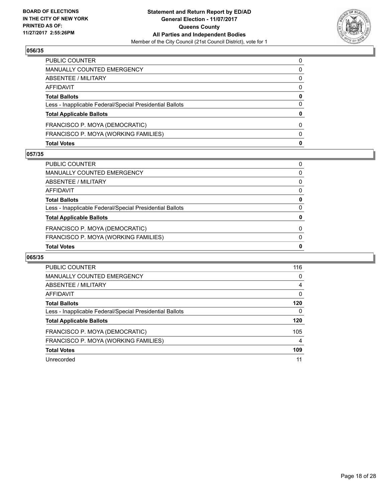

| <b>Total Votes</b>                                       | 0 |
|----------------------------------------------------------|---|
| FRANCISCO P. MOYA (WORKING FAMILIES)                     | 0 |
| FRANCISCO P. MOYA (DEMOCRATIC)                           | 0 |
| <b>Total Applicable Ballots</b>                          | 0 |
| Less - Inapplicable Federal/Special Presidential Ballots | 0 |
| <b>Total Ballots</b>                                     | 0 |
| AFFIDAVIT                                                | 0 |
| <b>ABSENTEE / MILITARY</b>                               | 0 |
| <b>MANUALLY COUNTED EMERGENCY</b>                        | 0 |
| PUBLIC COUNTER                                           | 0 |

#### **057/35**

| <b>Total Votes</b>                                       | 0 |
|----------------------------------------------------------|---|
| FRANCISCO P. MOYA (WORKING FAMILIES)                     | 0 |
| FRANCISCO P. MOYA (DEMOCRATIC)                           | 0 |
| <b>Total Applicable Ballots</b>                          | 0 |
| Less - Inapplicable Federal/Special Presidential Ballots | 0 |
| <b>Total Ballots</b>                                     | 0 |
| AFFIDAVIT                                                | 0 |
| <b>ABSENTEE / MILITARY</b>                               | 0 |
| <b>MANUALLY COUNTED EMERGENCY</b>                        | 0 |
| PUBLIC COUNTER                                           | 0 |

| PUBLIC COUNTER                                           | 116 |
|----------------------------------------------------------|-----|
| <b>MANUALLY COUNTED EMERGENCY</b>                        | 0   |
| ABSENTEE / MILITARY                                      | 4   |
| AFFIDAVIT                                                | 0   |
| <b>Total Ballots</b>                                     | 120 |
| Less - Inapplicable Federal/Special Presidential Ballots | 0   |
| <b>Total Applicable Ballots</b>                          | 120 |
| FRANCISCO P. MOYA (DEMOCRATIC)                           | 105 |
| FRANCISCO P. MOYA (WORKING FAMILIES)                     | 4   |
| <b>Total Votes</b>                                       | 109 |
| Unrecorded                                               | 11  |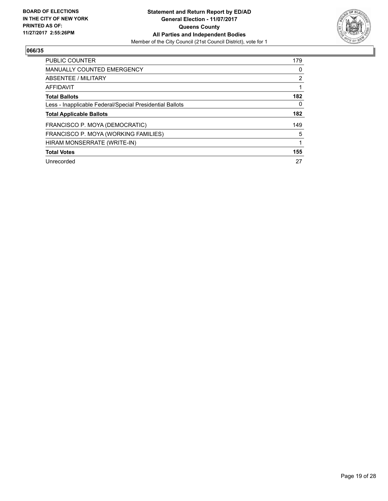

| PUBLIC COUNTER                                           | 179 |
|----------------------------------------------------------|-----|
| <b>MANUALLY COUNTED EMERGENCY</b>                        | 0   |
| ABSENTEE / MILITARY                                      | 2   |
| AFFIDAVIT                                                |     |
| <b>Total Ballots</b>                                     | 182 |
| Less - Inapplicable Federal/Special Presidential Ballots | 0   |
| <b>Total Applicable Ballots</b>                          | 182 |
| FRANCISCO P. MOYA (DEMOCRATIC)                           | 149 |
| FRANCISCO P. MOYA (WORKING FAMILIES)                     | 5   |
| HIRAM MONSERRATE (WRITE-IN)                              |     |
| <b>Total Votes</b>                                       | 155 |
| Unrecorded                                               | 27  |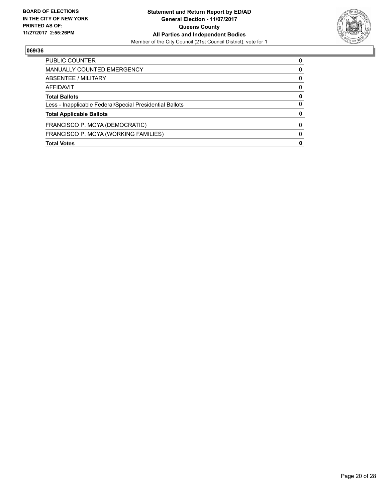

| <b>PUBLIC COUNTER</b>                                    | O |
|----------------------------------------------------------|---|
| MANUALLY COUNTED EMERGENCY                               | 0 |
| ABSENTEE / MILITARY                                      | 0 |
| AFFIDAVIT                                                | 0 |
| <b>Total Ballots</b>                                     | 0 |
| Less - Inapplicable Federal/Special Presidential Ballots | 0 |
| <b>Total Applicable Ballots</b>                          | 0 |
| FRANCISCO P. MOYA (DEMOCRATIC)                           | O |
| FRANCISCO P. MOYA (WORKING FAMILIES)                     | O |
| <b>Total Votes</b>                                       | 0 |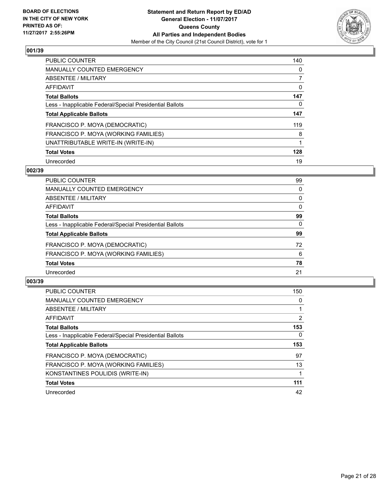

| <b>PUBLIC COUNTER</b>                                    | 140 |
|----------------------------------------------------------|-----|
| <b>MANUALLY COUNTED EMERGENCY</b>                        | 0   |
| ABSENTEE / MILITARY                                      |     |
| AFFIDAVIT                                                | 0   |
| <b>Total Ballots</b>                                     | 147 |
| Less - Inapplicable Federal/Special Presidential Ballots | 0   |
| <b>Total Applicable Ballots</b>                          | 147 |
| FRANCISCO P. MOYA (DEMOCRATIC)                           | 119 |
| FRANCISCO P. MOYA (WORKING FAMILIES)                     | 8   |
| UNATTRIBUTABLE WRITE-IN (WRITE-IN)                       |     |
| <b>Total Votes</b>                                       | 128 |
| Unrecorded                                               | 19  |

#### **002/39**

| <b>PUBLIC COUNTER</b>                                    | 99 |
|----------------------------------------------------------|----|
| <b>MANUALLY COUNTED EMERGENCY</b>                        | 0  |
| ABSENTEE / MILITARY                                      | 0  |
| AFFIDAVIT                                                | 0  |
| <b>Total Ballots</b>                                     | 99 |
| Less - Inapplicable Federal/Special Presidential Ballots | 0  |
| <b>Total Applicable Ballots</b>                          | 99 |
| FRANCISCO P. MOYA (DEMOCRATIC)                           | 72 |
| FRANCISCO P. MOYA (WORKING FAMILIES)                     | 6  |
| <b>Total Votes</b>                                       | 78 |
| Unrecorded                                               | 21 |
|                                                          |    |

| <b>PUBLIC COUNTER</b>                                    | 150            |
|----------------------------------------------------------|----------------|
| MANUALLY COUNTED EMERGENCY                               | 0              |
| ABSENTEE / MILITARY                                      |                |
| AFFIDAVIT                                                | $\overline{2}$ |
| <b>Total Ballots</b>                                     | 153            |
| Less - Inapplicable Federal/Special Presidential Ballots | $\Omega$       |
| <b>Total Applicable Ballots</b>                          | 153            |
| FRANCISCO P. MOYA (DEMOCRATIC)                           | 97             |
| FRANCISCO P. MOYA (WORKING FAMILIES)                     | 13             |
| KONSTANTINES POULIDIS (WRITE-IN)                         |                |
| <b>Total Votes</b>                                       | 111            |
| Unrecorded                                               | 42             |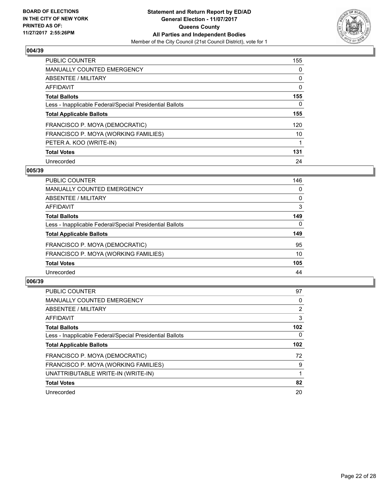

| <b>PUBLIC COUNTER</b>                                    | 155 |
|----------------------------------------------------------|-----|
| <b>MANUALLY COUNTED EMERGENCY</b>                        | 0   |
| ABSENTEE / MILITARY                                      | 0   |
| AFFIDAVIT                                                | 0   |
| <b>Total Ballots</b>                                     | 155 |
| Less - Inapplicable Federal/Special Presidential Ballots | 0   |
| <b>Total Applicable Ballots</b>                          | 155 |
| FRANCISCO P. MOYA (DEMOCRATIC)                           | 120 |
| FRANCISCO P. MOYA (WORKING FAMILIES)                     | 10  |
| PETER A. KOO (WRITE-IN)                                  |     |
| <b>Total Votes</b>                                       | 131 |
| Unrecorded                                               | 24  |

#### **005/39**

| <b>PUBLIC COUNTER</b>                                    | 146 |
|----------------------------------------------------------|-----|
| MANUALLY COUNTED EMERGENCY                               | 0   |
| ABSENTEE / MILITARY                                      | 0   |
| AFFIDAVIT                                                | 3   |
| <b>Total Ballots</b>                                     | 149 |
| Less - Inapplicable Federal/Special Presidential Ballots | 0   |
| <b>Total Applicable Ballots</b>                          | 149 |
| FRANCISCO P. MOYA (DEMOCRATIC)                           | 95  |
| FRANCISCO P. MOYA (WORKING FAMILIES)                     | 10  |
| <b>Total Votes</b>                                       | 105 |
| Unrecorded                                               | 44  |

| <b>PUBLIC COUNTER</b>                                    | 97               |
|----------------------------------------------------------|------------------|
| MANUALLY COUNTED EMERGENCY                               | 0                |
| ABSENTEE / MILITARY                                      | $\overline{2}$   |
| <b>AFFIDAVIT</b>                                         | 3                |
| <b>Total Ballots</b>                                     | 102 <sub>2</sub> |
| Less - Inapplicable Federal/Special Presidential Ballots | $\Omega$         |
| <b>Total Applicable Ballots</b>                          | 102 <sub>2</sub> |
| FRANCISCO P. MOYA (DEMOCRATIC)                           | 72               |
| FRANCISCO P. MOYA (WORKING FAMILIES)                     | 9                |
| UNATTRIBUTABLE WRITE-IN (WRITE-IN)                       |                  |
| <b>Total Votes</b>                                       | 82               |
| Unrecorded                                               | 20               |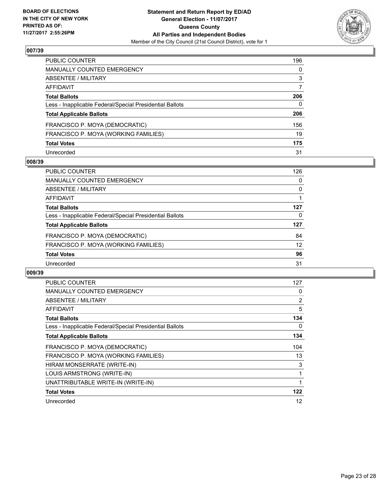

| PUBLIC COUNTER                                           | 196 |
|----------------------------------------------------------|-----|
| MANUALLY COUNTED EMERGENCY                               | 0   |
| ABSENTEE / MILITARY                                      | 3   |
| AFFIDAVIT                                                | 7   |
| <b>Total Ballots</b>                                     | 206 |
| Less - Inapplicable Federal/Special Presidential Ballots | 0   |
| <b>Total Applicable Ballots</b>                          | 206 |
| FRANCISCO P. MOYA (DEMOCRATIC)                           | 156 |
| FRANCISCO P. MOYA (WORKING FAMILIES)                     | 19  |
| <b>Total Votes</b>                                       | 175 |
| Unrecorded                                               | 31  |

#### **008/39**

| <b>PUBLIC COUNTER</b>                                    | 126 |
|----------------------------------------------------------|-----|
| MANUALLY COUNTED EMERGENCY                               | 0   |
| ABSENTEE / MILITARY                                      | 0   |
| AFFIDAVIT                                                |     |
| <b>Total Ballots</b>                                     | 127 |
| Less - Inapplicable Federal/Special Presidential Ballots | 0   |
| <b>Total Applicable Ballots</b>                          | 127 |
| FRANCISCO P. MOYA (DEMOCRATIC)                           | 84  |
| FRANCISCO P. MOYA (WORKING FAMILIES)                     | 12  |
| <b>Total Votes</b>                                       | 96  |
| Unrecorded                                               | 31  |

| PUBLIC COUNTER                                           | 127            |
|----------------------------------------------------------|----------------|
| <b>MANUALLY COUNTED EMERGENCY</b>                        | 0              |
| ABSENTEE / MILITARY                                      | $\overline{2}$ |
| <b>AFFIDAVIT</b>                                         | 5              |
| <b>Total Ballots</b>                                     | 134            |
| Less - Inapplicable Federal/Special Presidential Ballots | 0              |
| <b>Total Applicable Ballots</b>                          | 134            |
|                                                          |                |
| FRANCISCO P. MOYA (DEMOCRATIC)                           | 104            |
| FRANCISCO P. MOYA (WORKING FAMILIES)                     | 13             |
| HIRAM MONSERRATE (WRITE-IN)                              | 3              |
| LOUIS ARMSTRONG (WRITE-IN)                               |                |
| UNATTRIBUTABLE WRITE-IN (WRITE-IN)                       |                |
| <b>Total Votes</b>                                       | 122            |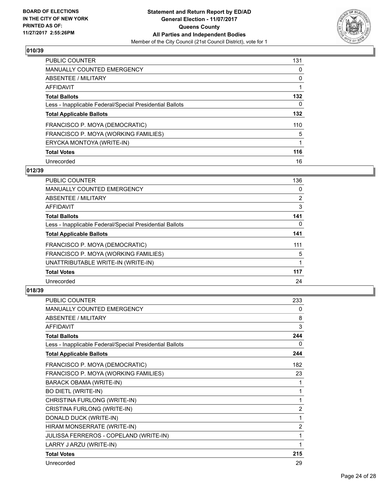

| <b>PUBLIC COUNTER</b>                                    | 131 |
|----------------------------------------------------------|-----|
| <b>MANUALLY COUNTED EMERGENCY</b>                        | 0   |
| ABSENTEE / MILITARY                                      | 0   |
| AFFIDAVIT                                                |     |
| <b>Total Ballots</b>                                     | 132 |
| Less - Inapplicable Federal/Special Presidential Ballots | 0   |
| <b>Total Applicable Ballots</b>                          | 132 |
| FRANCISCO P. MOYA (DEMOCRATIC)                           | 110 |
| FRANCISCO P. MOYA (WORKING FAMILIES)                     | 5   |
| ERYCKA MONTOYA (WRITE-IN)                                |     |
| <b>Total Votes</b>                                       | 116 |
| Unrecorded                                               | 16  |

## **012/39**

| <b>PUBLIC COUNTER</b>                                    | 136            |
|----------------------------------------------------------|----------------|
| <b>MANUALLY COUNTED EMERGENCY</b>                        | 0              |
| ABSENTEE / MILITARY                                      | $\overline{2}$ |
| <b>AFFIDAVIT</b>                                         | 3              |
| <b>Total Ballots</b>                                     | 141            |
| Less - Inapplicable Federal/Special Presidential Ballots | 0              |
| <b>Total Applicable Ballots</b>                          | 141            |
| FRANCISCO P. MOYA (DEMOCRATIC)                           | 111            |
| FRANCISCO P. MOYA (WORKING FAMILIES)                     | 5              |
| UNATTRIBUTABLE WRITE-IN (WRITE-IN)                       |                |
| <b>Total Votes</b>                                       | 117            |
| Unrecorded                                               | 24             |

| <b>PUBLIC COUNTER</b>                                    | 233            |
|----------------------------------------------------------|----------------|
| MANUALLY COUNTED EMERGENCY                               | 0              |
| <b>ABSENTEE / MILITARY</b>                               | 8              |
| <b>AFFIDAVIT</b>                                         | 3              |
| <b>Total Ballots</b>                                     | 244            |
| Less - Inapplicable Federal/Special Presidential Ballots | 0              |
| <b>Total Applicable Ballots</b>                          | 244            |
| FRANCISCO P. MOYA (DEMOCRATIC)                           | 182            |
| FRANCISCO P. MOYA (WORKING FAMILIES)                     | 23             |
| <b>BARACK OBAMA (WRITE-IN)</b>                           | 1              |
| <b>BO DIETL (WRITE-IN)</b>                               | 1              |
| CHRISTINA FURLONG (WRITE-IN)                             | 1              |
| CRISTINA FURLONG (WRITE-IN)                              | 2              |
| DONALD DUCK (WRITE-IN)                                   | 1              |
| HIRAM MONSERRATE (WRITE-IN)                              | $\overline{c}$ |
| JULISSA FERREROS - COPELAND (WRITE-IN)                   | 1              |
| LARRY J ARZU (WRITE-IN)                                  | 1              |
| <b>Total Votes</b>                                       | 215            |
| Unrecorded                                               | 29             |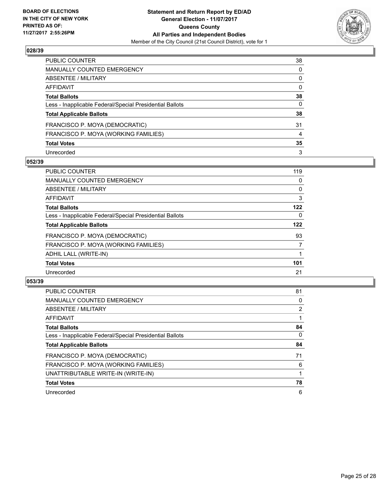

| PUBLIC COUNTER                                           | 38           |
|----------------------------------------------------------|--------------|
| MANUALLY COUNTED EMERGENCY                               | 0            |
| ABSENTEE / MILITARY                                      | 0            |
| AFFIDAVIT                                                | $\mathbf{0}$ |
| <b>Total Ballots</b>                                     | 38           |
| Less - Inapplicable Federal/Special Presidential Ballots | 0            |
| <b>Total Applicable Ballots</b>                          | 38           |
| FRANCISCO P. MOYA (DEMOCRATIC)                           | 31           |
| FRANCISCO P. MOYA (WORKING FAMILIES)                     | 4            |
| <b>Total Votes</b>                                       | 35           |
| Unrecorded                                               | 3            |

#### **052/39**

| <b>PUBLIC COUNTER</b>                                    | 119 |
|----------------------------------------------------------|-----|
| <b>MANUALLY COUNTED EMERGENCY</b>                        | 0   |
| ABSENTEE / MILITARY                                      | 0   |
| <b>AFFIDAVIT</b>                                         | 3   |
| <b>Total Ballots</b>                                     | 122 |
| Less - Inapplicable Federal/Special Presidential Ballots | 0   |
| <b>Total Applicable Ballots</b>                          | 122 |
| FRANCISCO P. MOYA (DEMOCRATIC)                           | 93  |
| FRANCISCO P. MOYA (WORKING FAMILIES)                     | 7   |
| ADHIL LALL (WRITE-IN)                                    |     |
| <b>Total Votes</b>                                       | 101 |
| Unrecorded                                               | 21  |

| <b>PUBLIC COUNTER</b>                                    | 81             |
|----------------------------------------------------------|----------------|
| <b>MANUALLY COUNTED EMERGENCY</b>                        | 0              |
| ABSENTEE / MILITARY                                      | $\overline{2}$ |
| AFFIDAVIT                                                |                |
| <b>Total Ballots</b>                                     | 84             |
| Less - Inapplicable Federal/Special Presidential Ballots | $\Omega$       |
| <b>Total Applicable Ballots</b>                          | 84             |
| FRANCISCO P. MOYA (DEMOCRATIC)                           | 71             |
| FRANCISCO P. MOYA (WORKING FAMILIES)                     | 6              |
| UNATTRIBUTABLE WRITE-IN (WRITE-IN)                       |                |
| <b>Total Votes</b>                                       | 78             |
| Unrecorded                                               | 6              |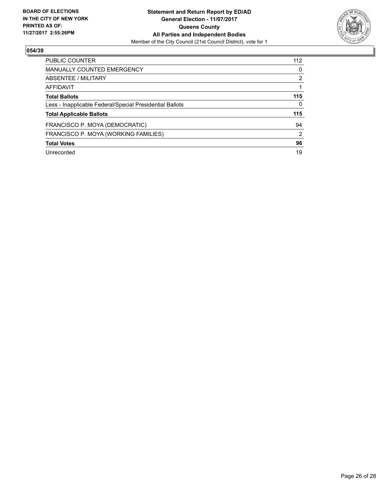

| <b>PUBLIC COUNTER</b>                                    | 112 |
|----------------------------------------------------------|-----|
| <b>MANUALLY COUNTED EMERGENCY</b>                        | 0   |
| ABSENTEE / MILITARY                                      | 2   |
| AFFIDAVIT                                                |     |
| <b>Total Ballots</b>                                     | 115 |
| Less - Inapplicable Federal/Special Presidential Ballots | 0   |
| <b>Total Applicable Ballots</b>                          | 115 |
| FRANCISCO P. MOYA (DEMOCRATIC)                           | 94  |
| FRANCISCO P. MOYA (WORKING FAMILIES)                     | 2   |
| <b>Total Votes</b>                                       | 96  |
| Unrecorded                                               | 19  |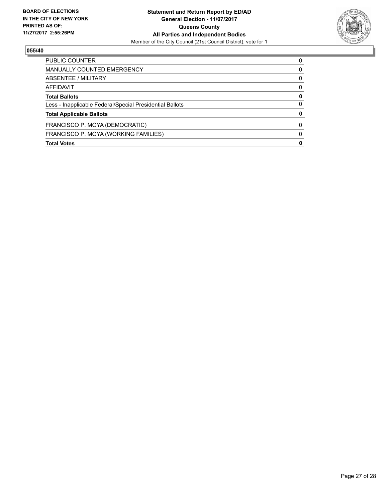

| <b>PUBLIC COUNTER</b>                                    | 0 |
|----------------------------------------------------------|---|
| <b>MANUALLY COUNTED EMERGENCY</b>                        | 0 |
| ABSENTEE / MILITARY                                      | 0 |
| AFFIDAVIT                                                | 0 |
| <b>Total Ballots</b>                                     | 0 |
| Less - Inapplicable Federal/Special Presidential Ballots | 0 |
| <b>Total Applicable Ballots</b>                          | 0 |
| FRANCISCO P. MOYA (DEMOCRATIC)                           | 0 |
| FRANCISCO P. MOYA (WORKING FAMILIES)                     | O |
| <b>Total Votes</b>                                       | 0 |